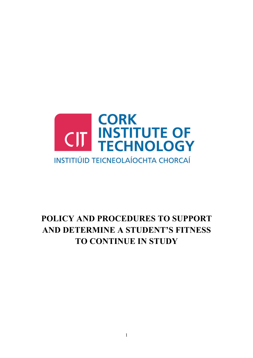

# **POLICY AND PROCEDURES TO SUPPORT AND DETERMINE A STUDENT'S FITNESS TO CONTINUE IN STUDY**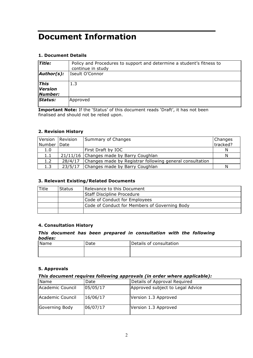# **Document Information**

# **1. Document Details**

| <b>Title:</b>                     | Policy and Procedures to support and determine a student's fitness to<br>continue in study |
|-----------------------------------|--------------------------------------------------------------------------------------------|
| $\vert$ Author(s):                | Iseult O'Connor                                                                            |
| <b>This</b><br>Version<br>Number: | 1.3                                                                                        |
| Status:                           | Approved                                                                                   |

**Important Note:** If the 'Status' of this document reads 'Draft', it has not been finalised and should not be relied upon.

## **2. Revision History**

| Version | Revision | Summary of Changes                                       | Changes  |
|---------|----------|----------------------------------------------------------|----------|
| Number  | Date     |                                                          | tracked? |
| 1.0     |          | First Draft by IOC                                       | N        |
| 1.1     |          | 21/11/16 Changes made by Barry Coughlan                  | N        |
| 1.2     | 28/4/17  | Changes made by Registrar following general consultation |          |
| 1.3     | 23/5/17  | Changes made by Barry Coughlan                           | N        |

## **3. Relevant Existing/Related Documents**

| Title | <b>Status</b> | Relevance to this Document                    |
|-------|---------------|-----------------------------------------------|
|       |               | <b>Staff Discipline Procedure</b>             |
|       |               | Code of Conduct for Employees                 |
|       |               | Code of Conduct for Members of Governing Body |
|       |               |                                               |

## **4. Consultation History**

#### *This document has been prepared in consultation with the following bodies:*

| Name | Date | Details of consultation |
|------|------|-------------------------|
|      |      |                         |

## **5. Approvals**

#### *This document requires following approvals (in order where applicable):*

| <b>Name</b>      | Date     | Details of Approval Required     |
|------------------|----------|----------------------------------|
| Academic Council | 05/05/17 | Approved subject to Legal Advice |
| Academic Council | 16/06/17 | Version 1.3 Approved             |
| Governing Body   | 06/07/17 | Version 1.3 Approved             |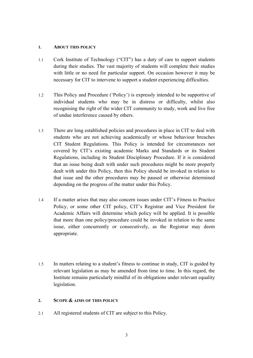## **1. ABOUT THIS POLICY**

- 1.1 Cork Institute of Technology ("CIT") has a duty of care to support students during their studies. The vast majority of students will complete their studies with little or no need for particular support. On occasion however it may be necessary for CIT to intervene to support a student experiencing difficulties.
- 1.2 This Policy and Procedure ('Policy') is expressly intended to be supportive of individual students who may be in distress or difficulty, whilst also recognising the right of the wider CIT community to study, work and live free of undue interference caused by others.
- 1.3 There are long established policies and procedures in place in CIT to deal with students who are not achieving academically or whose behaviour breaches CIT Student Regulations. This Policy is intended for circumstances not covered by CIT's existing academic Marks and Standards or its Student Regulations, including its Student Disciplinary Procedure. If it is considered that an issue being dealt with under such procedures might be more properly dealt with under this Policy, then this Policy should be invoked in relation to that issue and the other procedures may be paused or otherwise determined depending on the progress of the matter under this Policy.
- 1.4 If a matter arises that may also concern issues under CIT's Fitness to Practice Policy, or some other CIT policy, CIT's Registrar and Vice President for Academic Affairs will determine which policy will be applied. It is possible that more than one policy/procedure could be invoked in relation to the same issue, either concurrently or consecutively, as the Registrar may deem appropriate.
- 1.5 In matters relating to a student's fitness to continue in study, CIT is guided by relevant legislation as may be amended from time to time. In this regard, the Institute remains particularly mindful of its obligations under relevant equality legislation.

# **2. SCOPE & AIMS OF THIS POLICY**

2.1 All registered students of CIT are subject to this Policy.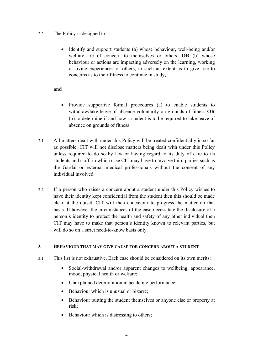- 2.2 The Policy is designed to:
	- Identify and support students (a) whose behaviour, well-being and/or welfare are of concern to themselves or others, **OR** (b) whose behaviour or actions are impacting adversely on the learning, working or living experiences of others, to such an extent as to give rise to concerns as to their fitness to continue in study,

# **and**

- Provide supportive formal procedures (a) to enable students to withdraw/take leave of absence voluntarily on grounds of fitness **OR**  (b) to determine if and how a student is to be required to take leave of absence on grounds of fitness.
- 2.1 All matters dealt with under this Policy will be treated confidentially in so far as possible. CIT will not disclose matters being dealt with under this Policy unless required to do so by law or having regard to its duty of care to its students and staff, in which case CIT may have to involve third parties such as the Gardai or external medical professionals without the consent of any individual involved.
- 2.2 If a person who raises a concern about a student under this Policy wishes to have their identity kept confidential from the student then this should be made clear at the outset. CIT will then endeavour to progress the matter on that basis. If however the circumstances of the case necessitate the disclosure of a person's identity to protect the health and safety of any other individual then CIT may have to make that person's identity known to relevant parties, but will do so on a strict need-to-know basis only.

# **3. BEHAVIOUR THAT MAY GIVE CAUSE FOR CONCERN ABOUT A STUDENT**

- 3.1 This list is not exhaustive. Each case should be considered on its own merits:
	- Social-withdrawal and/or apparent changes to wellbeing, appearance, mood, physical health or welfare;
	- Unexplained deterioration in academic performance;
	- Behaviour which is unusual or bizarre:
	- Behaviour putting the student themselves or anyone else or property at risk;
	- Behaviour which is distressing to others;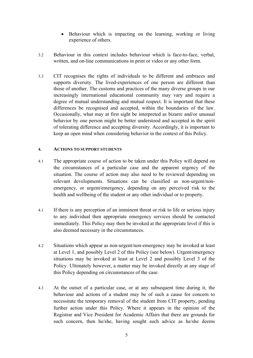- Behaviour which is impacting on the learning, working or living experience of others.
- 3.2 Behaviour in this context includes behaviour which is face-to-face, verbal, written, and on-line communications in print or video or any other form.
- 3.3 CIT recognises the rights of individuals to be different and embraces and supports diversity. The lived-experiences of one person are different than those of another. The customs and practices of the many diverse groups in our increasingly international educational community may vary and require a degree of mutual understanding and mutual respect. It is important that these differences be recognised and accepted, within the boundaries of the law. Occasionally, what may at first sight be interpreted as bizarre and/or unusual behavior by one person might be better understood and accepted in the spirit of tolerating difference and accepting diversity. Accordingly, it is important to keep an open mind when considering behavior in the context of this Policy.

# **4. ACTIONS TO SUPPORT STUDENTS**

- 4.1 The appropriate course of action to be taken under this Policy will depend on the circumstances of a particular case and the apparent urgency of the situation. The course of action may also need to be reviewed depending on relevant developments. Situations can be classified as non-urgent/nonemergency, or urgent/emergency, depending on any perceived risk to the health and wellbeing of the student or any other individual or to property.
- 4.1 If there is any perception of an imminent threat or risk to life or serious injury to any individual then appropriate emergency services should be contacted immediately. This Policy may then be invoked at the appropriate level if this is also deemed necessary in the circumstances.
- 4.2 Situations which appear as non-urgent/non-emergency may be invoked at least at Level 1, and possibly Level 2 of this Policy (see below). Urgent/emergency situations may be invoked at least at Level 2 and possibly Level 3 of the Policy. Ultimately however, a matter may be invoked directly at any stage of this Policy depending on circumstances of the case.
- 4.3 At the outset of a particular case, or at any subsequent time during it, the behaviour and actions of a student may be of such a cause for concern to necessitate the temporary removal of the student from CIT property, pending further action under this Policy. Where it appears in the opinion of the Registrar and Vice President for Academic Affairs that there are grounds for such concern, then he/she, having sought such advice as he/she deems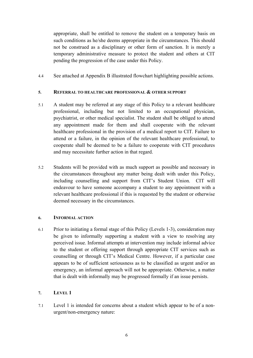appropriate, shall be entitled to remove the student on a temporary basis on such conditions as he/she deems appropriate in the circumstances. This should not be construed as a disciplinary or other form of sanction. It is merely a temporary administrative measure to protect the student and others at CIT pending the progression of the case under this Policy.

4.4 See attached at Appendix B illustrated flowchart highlighting possible actions.

# **5. REFERRAL TO HEALTHCARE PROFESSIONAL & OTHER SUPPORT**

- 5.1 A student may be referred at any stage of this Policy to a relevant healthcare professional, including but not limited to an occupational physician, psychiatrist, or other medical specialist. The student shall be obliged to attend any appointment made for them and shall cooperate with the relevant healthcare professional in the provision of a medical report to CIT. Failure to attend or a failure, in the opinion of the relevant healthcare professional, to cooperate shall be deemed to be a failure to cooperate with CIT procedures and may necessitate further action in that regard.
- 5.2 Students will be provided with as much support as possible and necessary in the circumstances throughout any matter being dealt with under this Policy, including counselling and support from CIT's Student Union. CIT will endeavour to have someone accompany a student to any appointment with a relevant healthcare professional if this is requested by the student or otherwise deemed necessary in the circumstances.

# **6. INFORMAL ACTION**

6.1 Prior to initiating a formal stage of this Policy (Levels 1-3), consideration may be given to informally supporting a student with a view to resolving any perceived issue. Informal attempts at intervention may include informal advice to the student or offering support through appropriate CIT services such as counselling or through CIT's Medical Centre. However, if a particular case appears to be of sufficient seriousness as to be classified as urgent and/or an emergency, an informal approach will not be appropriate. Otherwise, a matter that is dealt with informally may be progressed formally if an issue persists.

# **7. LEVEL 1**

7.1 Level 1 is intended for concerns about a student which appear to be of a nonurgent/non-emergency nature: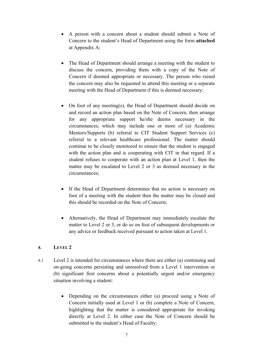- A person with a concern about a student should submit a Note of Concern to the student's Head of Department using the form **attached**  at Appendix A;
- The Head of Department should arrange a meeting with the student to discuss the concern, providing them with a copy of the Note of Concern if deemed appropriate or necessary. The person who raised the concern may also be requested to attend this meeting or a separate meeting with the Head of Department if this is deemed necessary;
- On foot of any meeting(s), the Head of Department should decide on and record an action plan based on the Note of Concern, then arrange for any appropriate support he/she deems necessary in the circumstances, which may include one or more of (a) Academic Mentors/Supports (b) referral to CIT Student Support Services (c) referral to a relevant healthcare professional. The matter should continue to be closely monitored to ensure that the student is engaged with the action plan and is cooperating with CIT in that regard. If a student refuses to cooperate with an action plan at Level 1, then the matter may be escalated to Level 2 or 3 as deemed necessary in the circumstances;
- If the Head of Department determines that no action is necessary on foot of a meeting with the student then the matter may be closed and this should be recorded on the Note of Concern;
- Alternatively, the Head of Department may immediately escalate the matter to Level 2 or 3, or do so on foot of subsequent developments or any advice or feedback received pursuant to action taken at Level 1.

# **8. LEVEL 2**

- 8.1 Level 2 is intended for circumstances where there are either (a) continuing and on-going concerns persisting and unresolved from a Level 1 intervention or (b) significant first concerns about a potentially urgent and/or emergency situation involving a student:
	- Depending on the circumstances either (a) proceed using a Note of Concern initially used at Level 1 or (b) complete a Note of Concern, highlighting that the matter is considered appropriate for invoking directly at Level 2. In either case the Note of Concern should be submitted to the student's Head of Faculty;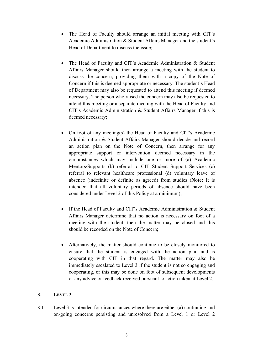- The Head of Faculty should arrange an initial meeting with CIT's Academic Administration & Student Affairs Manager and the student's Head of Department to discuss the issue;
- The Head of Faculty and CIT's Academic Administration & Student Affairs Manager should then arrange a meeting with the student to discuss the concern, providing them with a copy of the Note of Concern if this is deemed appropriate or necessary. The student's Head of Department may also be requested to attend this meeting if deemed necessary. The person who raised the concern may also be requested to attend this meeting or a separate meeting with the Head of Faculty and CIT's Academic Administration & Student Affairs Manager if this is deemed necessary;
- On foot of any meeting(s) the Head of Faculty and CIT's Academic Administration & Student Affairs Manager should decide and record an action plan on the Note of Concern, then arrange for any appropriate support or intervention deemed necessary in the circumstances which may include one or more of (a) Academic Mentors/Supports (b) referral to CIT Student Support Services (c) referral to relevant healthcare professional (d) voluntary leave of absence (indefinite or definite as agreed) from studies (**Note:** It is intended that all voluntary periods of absence should have been considered under Level 2 of this Policy at a minimum);
- If the Head of Faculty and CIT's Academic Administration & Student Affairs Manager determine that no action is necessary on foot of a meeting with the student, then the matter may be closed and this should be recorded on the Note of Concern;
- Alternatively, the matter should continue to be closely monitored to ensure that the student is engaged with the action plan and is cooperating with CIT in that regard. The matter may also be immediately escalated to Level 3 if the student is not so engaging and cooperating, or this may be done on foot of subsequent developments or any advice or feedback received pursuant to action taken at Level 2.

# **9. LEVEL 3**

9.1 Level 3 is intended for circumstances where there are either (a) continuing and on-going concerns persisting and unresolved from a Level 1 or Level 2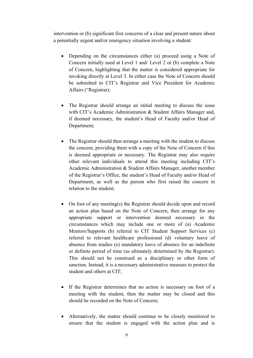intervention or (b) significant first concerns of a clear and present nature about a potentially urgent and/or emergency situation involving a student:

- Depending on the circumstances either (a) proceed using a Note of Concern initially used at Level 1 and/ Level 2 or (b) complete a Note of Concern, highlighting that the matter is considered appropriate for invoking directly at Level 3. In either case the Note of Concern should be submitted to CIT's Registrar and Vice President for Academic Affairs ("Registrar);
- The Registrar should arrange an initial meeting to discuss the issue with CIT's Academic Administration & Student Affairs Manager and, if deemed necessary, the student's Head of Faculty and/or Head of Department;
- The Registrar should then arrange a meeting with the student to discuss the concern, providing them with a copy of the Note of Concern if this is deemed appropriate or necessary. The Registrar may also require other relevant individuals to attend this meeting including CIT's Academic Administration & Student Affairs Manager, another member of the Registrar's Office, the student's Head of Faculty and/or Head of Department, as well as the person who first raised the concern in relation to the student;
- On foot of any meeting(s) the Registrar should decide upon and record an action plan based on the Note of Concern, then arrange for any appropriate support or intervention deemed necessary in the circumstances which may include one or more of (a) Academic Mentors/Supports (b) referral to CIT Student Support Services (c) referral to relevant healthcare professional (d) voluntary leave of absence from studies (e) mandatory leave of absence for an indefinite or definite period of time (as ultimately determined by the Registrar). This should not be construed as a disciplinary or other form of sanction. Instead, it is a necessary administrative measure to protect the student and others at CIT;
- If the Registrar determines that no action is necessary on foot of a meeting with the student, then the matter may be closed and this should be recorded on the Note of Concern;
- Alternatively, the matter should continue to be closely monitored to ensure that the student is engaged with the action plan and is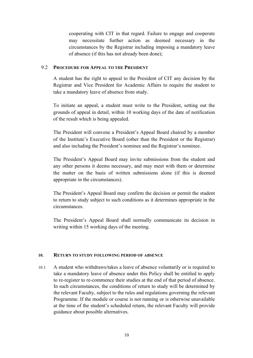cooperating with CIT in that regard. Failure to engage and cooperate may necessitate further action as deemed necessary in the circumstances by the Registrar including imposing a mandatory leave of absence (if this has not already been done);

## 9.2 **PROCEDURE FOR APPEAL TO THE PRESIDENT**

A student has the right to appeal to the President of CIT any decision by the Registrar and Vice President for Academic Affairs to require the student to take a mandatory leave of absence from study.

To initiate an appeal, a student must write to the President, setting out the grounds of appeal in detail, within 10 working days of the date of notification of the result which is being appealed.

The President will convene a President's Appeal Board chaired by a member of the Institute's Executive Board (other than the President or the Registrar) and also including the President's nominee and the Registrar's nominee.

The President's Appeal Board may invite submissions from the student and any other persons it deems necessary, and may meet with them or determine the matter on the basis of written submissions alone (if this is deemed appropriate in the circumstances).

The President's Appeal Board may confirm the decision or permit the student to return to study subject to such conditions as it determines appropriate in the circumstances.

The President's Appeal Board shall normally communicate its decision in writing within 15 working days of the meeting.

#### **10. RETURN TO STUDY FOLLOWING PERIOD OF ABSENCE**

10.1 A student who withdraws/takes a leave of absence voluntarily or is required to take a mandatory leave of absence under this Policy shall be entitled to apply to re-register to re-commence their studies at the end of that period of absence. In such circumstances, the conditions of return to study will be determined by the relevant Faculty, subject to the rules and regulations governing the relevant Programme. If the module or course is not running or is otherwise unavailable at the time of the student's scheduled return, the relevant Faculty will provide guidance about possible alternatives.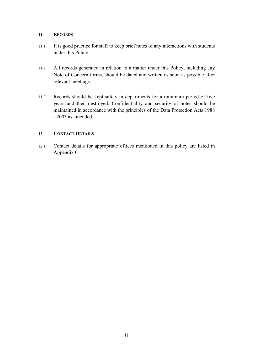# **11. RECORDS**

- 11.1 It is good practice for staff to keep brief notes of any interactions with students under this Policy.
- 11.2 All records generated in relation to a matter under this Policy, including any Note of Concern forms, should be dated and written as soon as possible after relevant meetings.
- 11.3 Records should be kept safely in departments for a minimum period of five years and then destroyed. Confidentiality and security of notes should be maintained in accordance with the principles of the Data Protection Acts 1988 - 2003 as amended.

# **12. CONTACT DETAILS**

12.1 Contact details for appropriate offices mentioned in this policy are listed in Appendix C.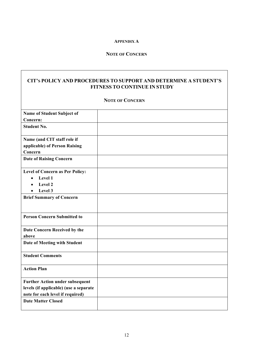## **APPENDIX A**

# **NOTE OF CONCERN**

# **CIT'S POLICY AND PROCEDURES TO SUPPORT AND DETERMINE A STUDENT'S FITNESS TO CONTINUE IN STUDY**

#### **NOTE OF CONCERN**

| Name of Student Subject of             |  |
|----------------------------------------|--|
| Concern:                               |  |
| <b>Student No.</b>                     |  |
| Name (and CIT staff role if            |  |
| applicable) of Person Raising          |  |
| Concern                                |  |
| <b>Date of Raising Concern</b>         |  |
| Level of Concern as Per Policy:        |  |
| Level 1<br>$\bullet$                   |  |
| Level 2<br>$\bullet$                   |  |
| Level 3                                |  |
| <b>Brief Summary of Concern</b>        |  |
|                                        |  |
| <b>Person Concern Submitted to</b>     |  |
| Date Concern Received by the<br>above  |  |
| Date of Meeting with Student           |  |
| <b>Student Comments</b>                |  |
| <b>Action Plan</b>                     |  |
| <b>Further Action under subsequent</b> |  |
| levels (if applicable) (use a separate |  |
| note for each level if required)       |  |
| <b>Date Matter Closed</b>              |  |
|                                        |  |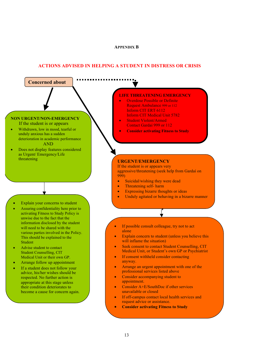#### **APPENDIX B**

#### **ACTIONS ADVISED IN HELPING A STUDENT IN DISTRESS OR CRISIS**

# **NON URGENT/NON-EMERGENCY**

**Concerned about welling** the set of  $\boldsymbol{\theta}$ 

- If the student is or appears
- Withdrawn, low in mood, tearful or unduly anxious has a sudden deterioration in academic performance AND
- Does not display features considered as Urgent/ Emergency/Life threatening **URGENT/EMERGENCY**

- Explain your concerns to student
- Assuring confidentiality here prior to activating Fitness to Study Policy is unwise due to the fact that the information disclosed by the student will need to be shared with the various parties involved in the Policy. This should be explained to the Student
- Advise student to contact Student Counselling, CIT Medical Unit or their own GP.
- Arrange follow up appointment
- If a student does not follow your advice, his/her wishes should be respected. No further action is appropriate at this stage unless their condition deteriorates to become a cause for concern again.

#### **student? LIFE THREATENING EMERGENCY**

- Overdose Possible or Definite Request Ambulance 999 or 112 Inform CIT ERT 6112 Inform CIT Medical Unit 5782
- Student Violent/Armed Contact Gardaí 999 or 112
- **Consider activating Fitness to Study**

If the student is or appears very aggressive/threatening (seek help from Gardaí on 999)

- Suicidal/wishing they were dead
- Threatening self- harm
- Expressing bizarre thoughts or ideas
- Unduly agitated or behaving in a bizarre manner
- If possible consult colleague, try not to act alone
- Explain concern to student (unless you believe this will inflame the situation)
- Seek consent to contact Student Counselling, CIT Medical Unit, or Student's own GP or Psychiatrist
- If consent withheld consider contacting anyway.
- Arrange an urgent appointment with one of the professional services listed above
- Consider accompanying student to appointment.
- Consider A+E/SouthDoc if other services unavailable or closed
- If off-campus contact local health services and request advice or assistance.
- **Consider activating Fitness to Study**